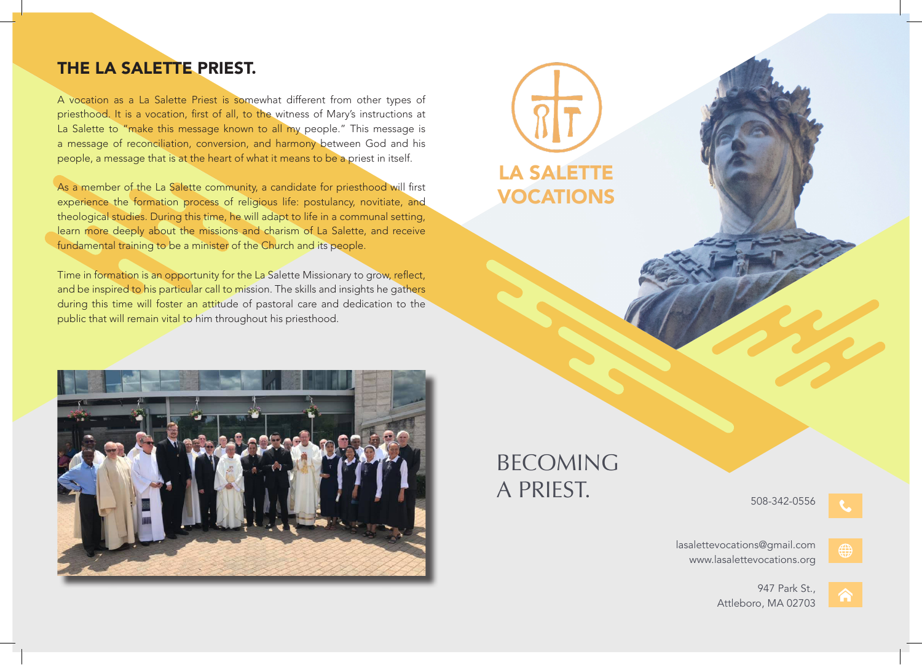## THE LA SALETTE PRIEST.

A vocation as a La Salette Priest is somewhat different from other types of priesthood. It is a vocation, first of all, to the witness of Mary's instructions at La Salette to "make this message known to all my people." This message is a message of reconciliation, conversion, and harmony between God and his people, a message that is at the heart of what it means to be a priest in itself.

As a member of the La Salette community, a candidate for priesthood will first experience the formation process of religious life: postulancy, novitiate, and theological studies. During this time, he will adapt to life in a communal setting, learn more deeply about the missions and charism of La Salette, and receive fundamental training to be a minister of the Church and its people.

Time in formation is an opportunity for the La Salette Missionary to grow, reflect, and be inspired to his particular call to mission. The skills and insights he gathers during this time will foster an attitude of pastoral care and dedication to the public that will remain vital to him throughout his priesthood.



# BECOMING A PRIEST.

LA SALETTE

VOCATIONS

508-342-0556



lasalettevocations@gmail.com www.lasalettevocations.org



947 Park St., Attleboro, MA 02703